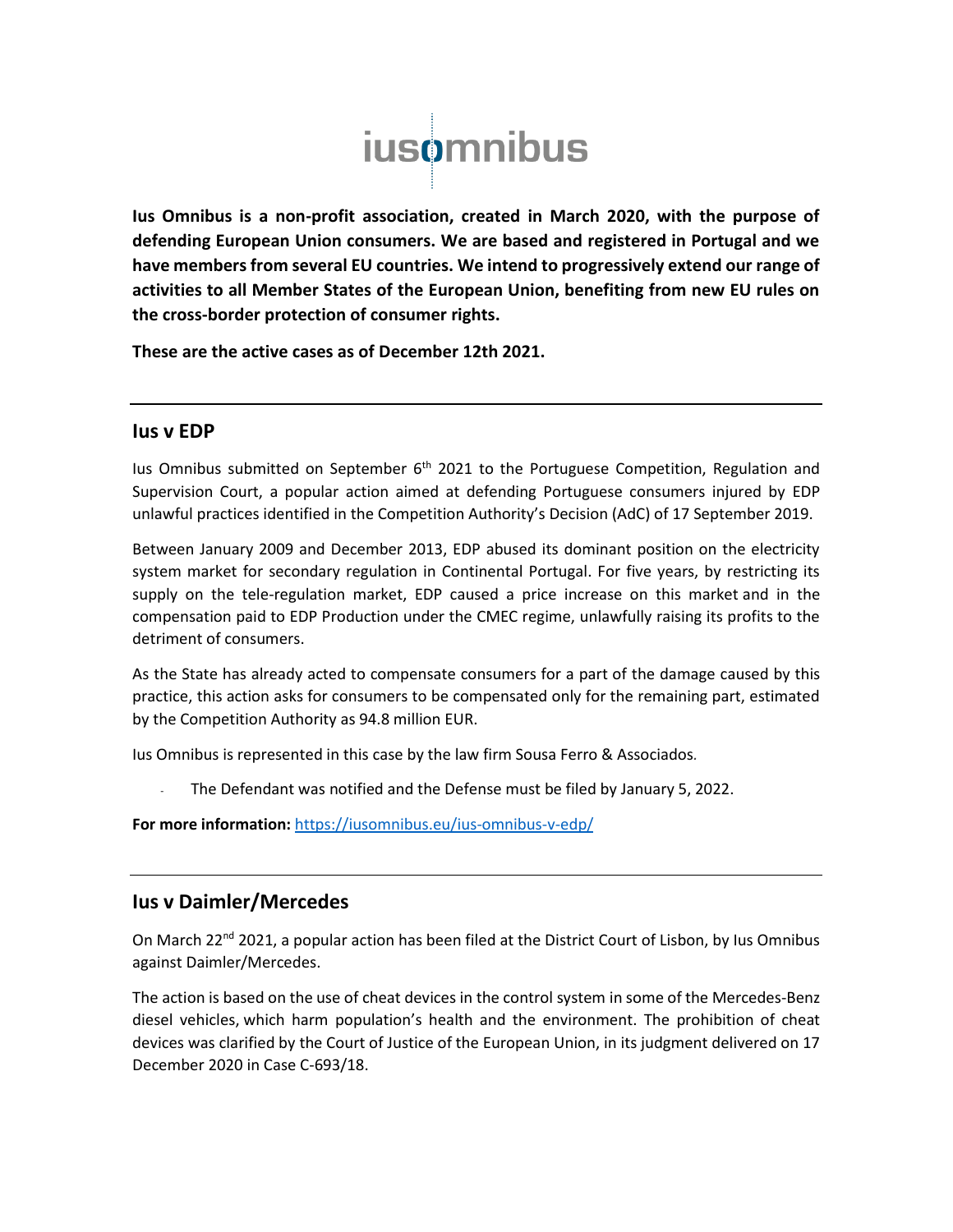

**Ius Omnibus is a non-profit association, created in March 2020, with the purpose of defending European Union consumers. We are based and registered in Portugal and we have members from several EU countries. We intend to progressively extend our range of activities to all Member States of the European Union, benefiting from new EU rules on the cross-border protection of consumer rights.** 

**These are the active cases as of December 12th 2021.**

#### **Ius v EDP**

Ius Omnibus submitted on September  $6<sup>th</sup>$  2021 to the Portuguese Competition, Regulation and Supervision Court, a popular action aimed at defending Portuguese consumers injured by EDP unlawful practices identified in the Competition Authority's Decision (AdC) of 17 September 2019.

Between January 2009 and December 2013, EDP abused its dominant position on the electricity system market for secondary regulation in Continental Portugal. For five years, by restricting its supply on the tele-regulation market, EDP caused a price increase on this market and in the compensation paid to EDP Production under the CMEC regime, unlawfully raising its profits to the detriment of consumers.

As the State has already acted to compensate consumers for a part of the damage caused by this practice, this action asks for consumers to be compensated only for the remaining part, estimated by the Competition Authority as 94.8 million EUR.

Ius Omnibus is represented in this case by the law firm Sousa Ferro & Associados*.*

The Defendant was notified and the Defense must be filed by January 5, 2022.

**For more information:** <https://iusomnibus.eu/ius-omnibus-v-edp/>

## **Ius v Daimler/Mercedes**

On March 22<sup>nd</sup> 2021, a popular action has been filed at the District Court of Lisbon, by Ius Omnibus against Daimler/Mercedes.

The action is based on the use of cheat devices in the control system in some of the Mercedes-Benz diesel vehicles, which harm population's health and the environment. The prohibition of cheat devices was clarified by the Court of Justice of the European Union, in its judgment delivered on 17 December 2020 in Case C-693/18.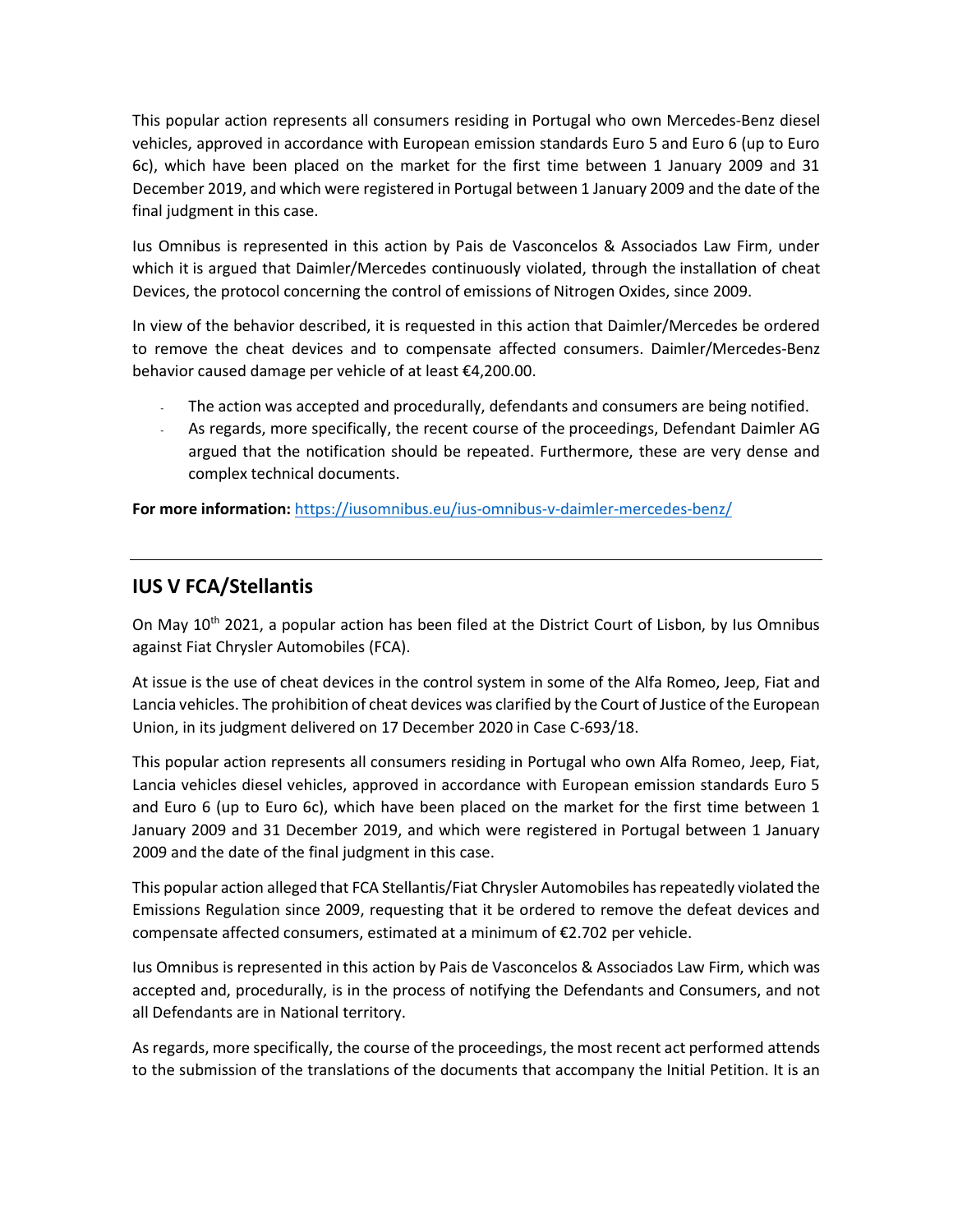This popular action represents all consumers residing in Portugal who own Mercedes-Benz diesel vehicles, approved in accordance with European emission standards Euro 5 and Euro 6 (up to Euro 6c), which have been placed on the market for the first time between 1 January 2009 and 31 December 2019, and which were registered in Portugal between 1 January 2009 and the date of the final judgment in this case.

Ius Omnibus is represented in this action by Pais de Vasconcelos & Associados Law Firm, under which it is argued that Daimler/Mercedes continuously violated, through the installation of cheat Devices, the protocol concerning the control of emissions of Nitrogen Oxides, since 2009.

In view of the behavior described, it is requested in this action that Daimler/Mercedes be ordered to remove the cheat devices and to compensate affected consumers. Daimler/Mercedes-Benz behavior caused damage per vehicle of at least €4,200.00.

- The action was accepted and procedurally, defendants and consumers are being notified.
- As regards, more specifically, the recent course of the proceedings, Defendant Daimler AG argued that the notification should be repeated. Furthermore, these are very dense and complex technical documents.

**For more information:** <https://iusomnibus.eu/ius-omnibus-v-daimler-mercedes-benz/>

# **IUS V FCA/Stellantis**

On May 10<sup>th</sup> 2021, a popular action has been filed at the District Court of Lisbon, by Ius Omnibus against Fiat Chrysler Automobiles (FCA).

At issue is the use of cheat devices in the control system in some of the Alfa Romeo, Jeep, Fiat and Lancia vehicles. The prohibition of cheat devices was clarified by the Court of Justice of the European Union, in its judgment delivered on 17 December 2020 in Case C-693/18.

This popular action represents all consumers residing in Portugal who own Alfa Romeo, Jeep, Fiat, Lancia vehicles diesel vehicles, approved in accordance with European emission standards Euro 5 and Euro 6 (up to Euro 6c), which have been placed on the market for the first time between 1 January 2009 and 31 December 2019, and which were registered in Portugal between 1 January 2009 and the date of the final judgment in this case.

This popular action alleged that FCA Stellantis/Fiat Chrysler Automobiles has repeatedly violated the Emissions Regulation since 2009, requesting that it be ordered to remove the defeat devices and compensate affected consumers, estimated at a minimum of €2.702 per vehicle.

Ius Omnibus is represented in this action by Pais de Vasconcelos & Associados Law Firm, which was accepted and, procedurally, is in the process of notifying the Defendants and Consumers, and not all Defendants are in National territory.

As regards, more specifically, the course of the proceedings, the most recent act performed attends to the submission of the translations of the documents that accompany the Initial Petition. It is an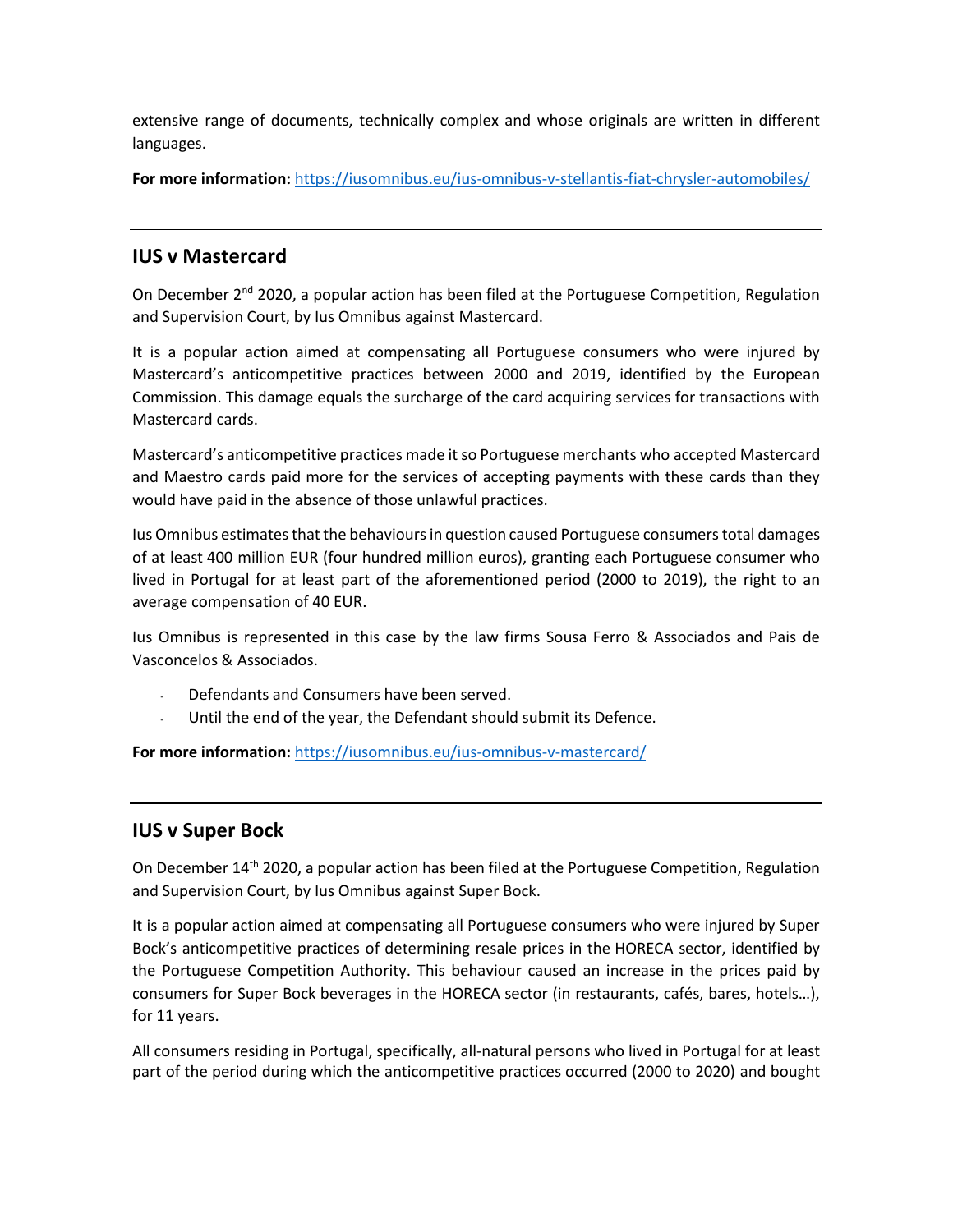extensive range of documents, technically complex and whose originals are written in different languages.

For more information: <https://iusomnibus.eu/ius-omnibus-v-stellantis-fiat-chrysler-automobiles/>

# **IUS v Mastercard**

On December 2<sup>nd</sup> 2020, a popular action has been filed at the Portuguese Competition, Regulation and Supervision Court, by Ius Omnibus against Mastercard.

It is a popular action aimed at compensating all Portuguese consumers who were injured by Mastercard's anticompetitive practices between 2000 and 2019, identified by the European Commission. This damage equals the surcharge of the card acquiring services for transactions with Mastercard cards.

Mastercard's anticompetitive practices made it so Portuguese merchants who accepted Mastercard and Maestro cards paid more for the services of accepting payments with these cards than they would have paid in the absence of those unlawful practices.

Ius Omnibus estimates that the behaviours in question caused Portuguese consumers total damages of at least 400 million EUR (four hundred million euros), granting each Portuguese consumer who lived in Portugal for at least part of the aforementioned period (2000 to 2019), the right to an average compensation of 40 EUR.

Ius Omnibus is represented in this case by the law firms Sousa Ferro & Associados and Pais de Vasconcelos & Associados.

- Defendants and Consumers have been served.
- Until the end of the year, the Defendant should submit its Defence.

**For more information:** <https://iusomnibus.eu/ius-omnibus-v-mastercard/>

## **IUS v Super Bock**

On December 14<sup>th</sup> 2020, a popular action has been filed at the Portuguese Competition, Regulation and Supervision Court, by Ius Omnibus against Super Bock.

It is a popular action aimed at compensating all Portuguese consumers who were injured by Super Bock's anticompetitive practices of determining resale prices in the HORECA sector, identified by the Portuguese Competition Authority. This behaviour caused an increase in the prices paid by consumers for Super Bock beverages in the HORECA sector (in restaurants, cafés, bares, hotels…), for 11 years.

All consumers residing in Portugal, specifically, all-natural persons who lived in Portugal for at least part of the period during which the anticompetitive practices occurred (2000 to 2020) and bought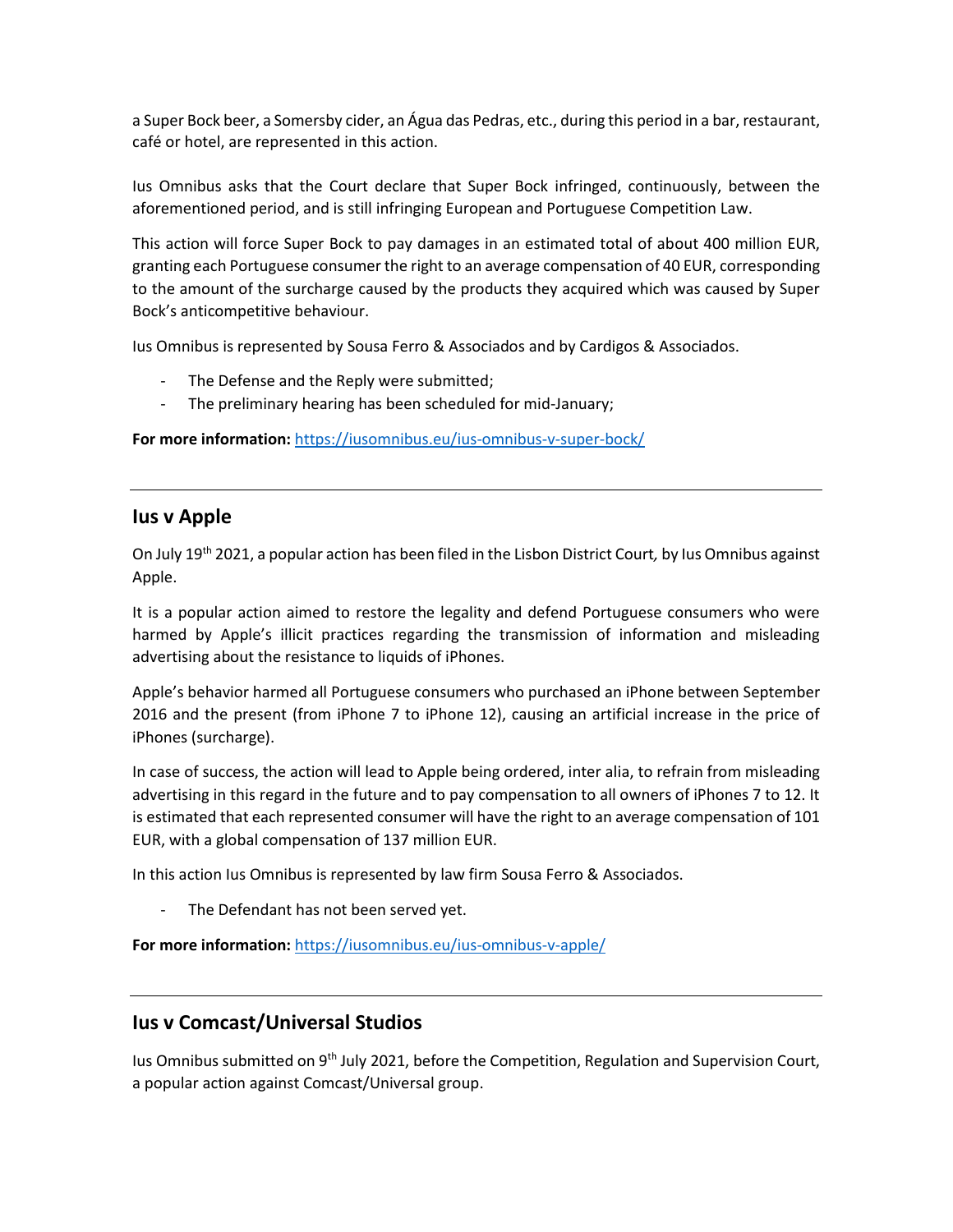a Super Bock beer, a Somersby cider, an Água das Pedras, etc., during this period in a bar, restaurant, café or hotel, are represented in this action.

Ius Omnibus asks that the Court declare that Super Bock infringed, continuously, between the aforementioned period, and is still infringing European and Portuguese Competition Law.

This action will force Super Bock to pay damages in an estimated total of about 400 million EUR, granting each Portuguese consumer the right to an average compensation of 40 EUR, corresponding to the amount of the surcharge caused by the products they acquired which was caused by Super Bock's anticompetitive behaviour.

Ius Omnibus is represented by Sousa Ferro & Associados and by Cardigos & Associados.

- The Defense and the Reply were submitted;
- The preliminary hearing has been scheduled for mid-January;

**For more information:** <https://iusomnibus.eu/ius-omnibus-v-super-bock/>

### **Ius v Apple**

On July 19th 2021, a popular action has been filed in the Lisbon District Court*,* by Ius Omnibus against Apple.

It is a popular action aimed to restore the legality and defend Portuguese consumers who were harmed by Apple's illicit practices regarding the transmission of information and misleading advertising about the resistance to liquids of iPhones.

Apple's behavior harmed all Portuguese consumers who purchased an iPhone between September 2016 and the present (from iPhone 7 to iPhone 12), causing an artificial increase in the price of iPhones (surcharge).

In case of success, the action will lead to Apple being ordered, inter alia, to refrain from misleading advertising in this regard in the future and to pay compensation to all owners of iPhones 7 to 12. It is estimated that each represented consumer will have the right to an average compensation of 101 EUR, with a global compensation of 137 million EUR.

In this action Ius Omnibus is represented by law firm Sousa Ferro & Associados.

The Defendant has not been served yet.

**For more information:** <https://iusomnibus.eu/ius-omnibus-v-apple/>

### **Ius v Comcast/Universal Studios**

Ius Omnibus submitted on 9<sup>th</sup> July 2021, before the Competition, Regulation and Supervision Court, a popular action against Comcast/Universal group.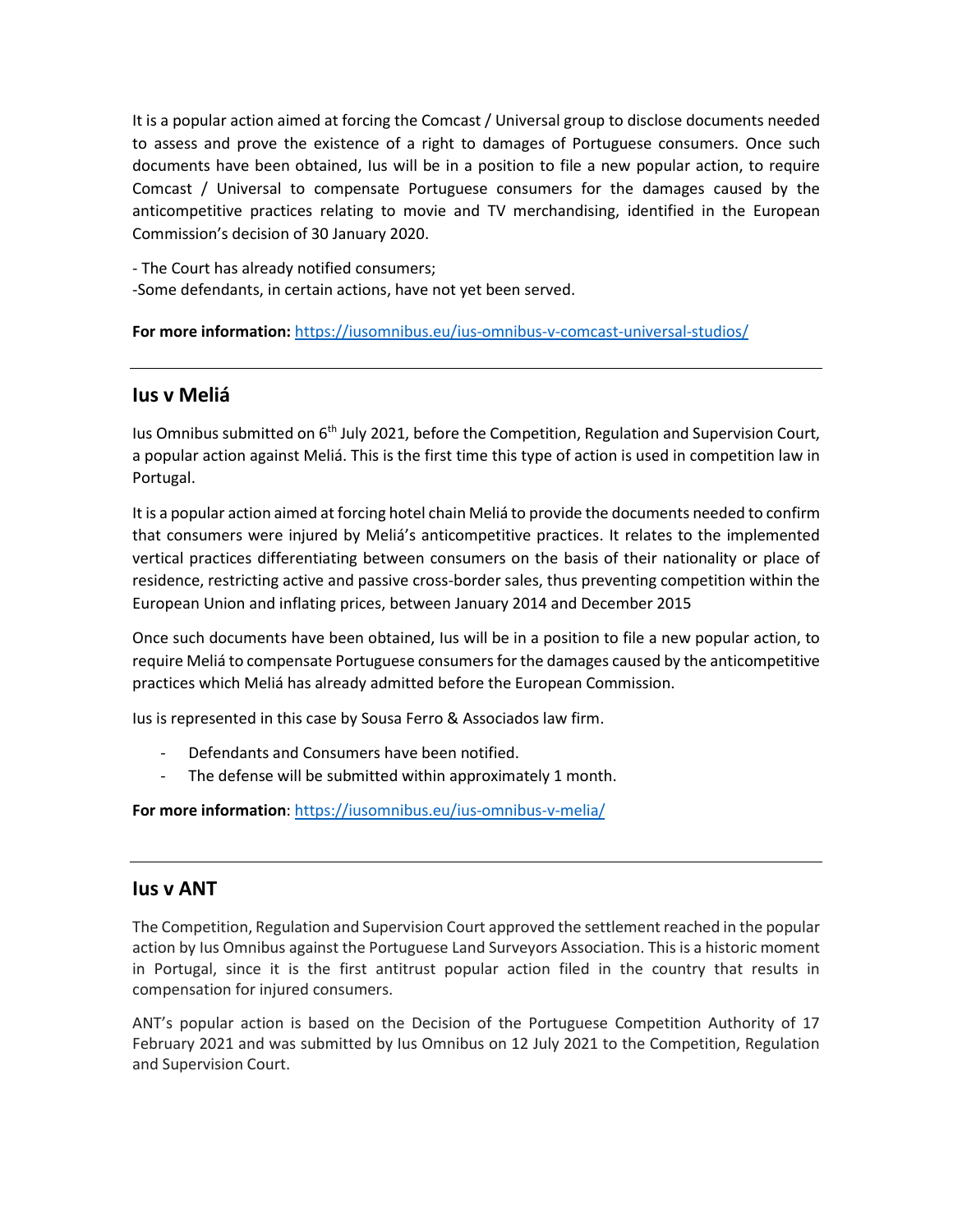It is a popular action aimed at forcing the Comcast / Universal group to disclose documents needed to assess and prove the existence of a right to damages of Portuguese consumers. Once such documents have been obtained, Ius will be in a position to file a new popular action, to require Comcast / Universal to compensate Portuguese consumers for the damages caused by the anticompetitive practices relating to movie and TV merchandising, identified in the European Commission's decision of 30 January 2020.

- The Court has already notified consumers;

-Some defendants, in certain actions, have not yet been served.

**For more information:** <https://iusomnibus.eu/ius-omnibus-v-comcast-universal-studios/>

### **Ius v Meliá**

Ius Omnibus submitted on 6th July 2021, before the Competition, Regulation and Supervision Court, a popular action against Meliá. This is the first time this type of action is used in competition law in Portugal.

It is a popular action aimed at forcing hotel chain Meliá to provide the documents needed to confirm that consumers were injured by Meliá's anticompetitive practices. It relates to the implemented vertical practices differentiating between consumers on the basis of their nationality or place of residence, restricting active and passive cross-border sales, thus preventing competition within the European Union and inflating prices, between January 2014 and December 2015

Once such documents have been obtained, Ius will be in a position to file a new popular action, to require Meliá to compensate Portuguese consumers for the damages caused by the anticompetitive practices which Meliá has already admitted before the European Commission.

Ius is represented in this case by Sousa Ferro & Associados law firm.

- Defendants and Consumers have been notified.
- The defense will be submitted within approximately 1 month.

**For more information**:<https://iusomnibus.eu/ius-omnibus-v-melia/>

### **Ius v ANT**

The Competition, Regulation and Supervision Court approved the settlement reached in the popular action by Ius Omnibus against the Portuguese Land Surveyors Association. This is a historic moment in Portugal, since it is the first antitrust popular action filed in the country that results in compensation for injured consumers.

ANT's popular action is based on the Decision of the Portuguese Competition Authority of 17 February 2021 and was submitted by Ius Omnibus on 12 July 2021 to the Competition, Regulation and Supervision Court.